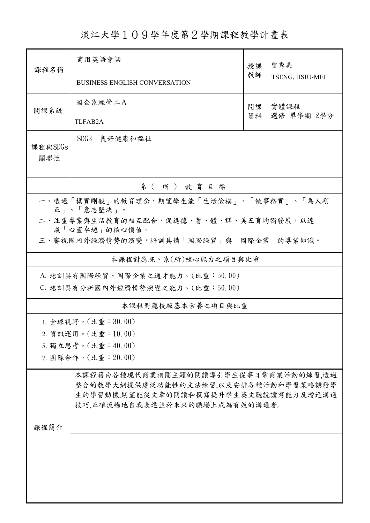淡江大學109學年度第2學期課程教學計畫表

| 課程名稱                                                   | 商用英語會話                                                                                                                                                | 授課       | 曾秀美<br>TSENG, HSIU-MEI |  |  |  |  |  |  |
|--------------------------------------------------------|-------------------------------------------------------------------------------------------------------------------------------------------------------|----------|------------------------|--|--|--|--|--|--|
|                                                        | <b>BUSINESS ENGLISH CONVERSATION</b>                                                                                                                  | 教師       |                        |  |  |  |  |  |  |
| 開課系級                                                   | 國企系經管二A                                                                                                                                               | 開課<br>資料 | 實體課程<br>選修 單學期 2學分     |  |  |  |  |  |  |
|                                                        | <b>TLFAB2A</b>                                                                                                                                        |          |                        |  |  |  |  |  |  |
| SDG3<br>良好健康和福祉<br>課程與SDGs<br>關聯性                      |                                                                                                                                                       |          |                        |  |  |  |  |  |  |
| 系(所)教育目標                                               |                                                                                                                                                       |          |                        |  |  |  |  |  |  |
| 一、透過「樸實剛毅」的教育理念,期望學生能「生活儉樸」、「做事務實」、「為人剛<br>正」、「意志堅決」。  |                                                                                                                                                       |          |                        |  |  |  |  |  |  |
| 二、注重專業與生活教育的相互配合,促進德、智、體、群、美五育均衡發展,以達<br>成「心靈卓越」的核心價值。 |                                                                                                                                                       |          |                        |  |  |  |  |  |  |
| 三、審視國內外經濟情勢的演變,培訓具備「國際經貿」與「國際企業」的專業知識。                 |                                                                                                                                                       |          |                        |  |  |  |  |  |  |
| 本課程對應院、系(所)核心能力之項目與比重                                  |                                                                                                                                                       |          |                        |  |  |  |  |  |  |
| A. 培訓具有國際經貿、國際企業之通才能力。(比重:50.00)                       |                                                                                                                                                       |          |                        |  |  |  |  |  |  |
| C. 培訓具有分析國內外經濟情勢演變之能力。(比重:50.00)                       |                                                                                                                                                       |          |                        |  |  |  |  |  |  |
|                                                        | 本課程對應校級基本素養之項目與比重                                                                                                                                     |          |                        |  |  |  |  |  |  |
|                                                        | 1. 全球視野。(比重: $30.00$ )                                                                                                                                |          |                        |  |  |  |  |  |  |
|                                                        | 2. 資訊運用。(比重:10.00)                                                                                                                                    |          |                        |  |  |  |  |  |  |
|                                                        | 5. 獨立思考。(比重:40.00)                                                                                                                                    |          |                        |  |  |  |  |  |  |
|                                                        | 7. 團隊合作。(比重: 20.00)                                                                                                                                   |          |                        |  |  |  |  |  |  |
| 課程簡介                                                   | 本課程藉由各種現代商業相關主題的閱讀導引學生從事日常商業活動的練習,透過<br>整合的教學大綱提供廣泛功能性的文法練習,以及安排各種活動和學習策略誘發學<br>生的學習動機,期望能從文章的閱讀和撰寫提升學生英文聽說讀寫能力及增進溝通<br>技巧,正確流暢地自我表達並於未來的職場上成為有效的溝通者。 |          |                        |  |  |  |  |  |  |
|                                                        |                                                                                                                                                       |          |                        |  |  |  |  |  |  |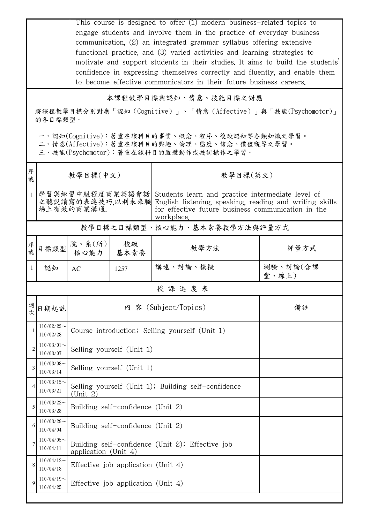This course is designed to offer (1) modern business-related topics to engage students and involve them in the practice of everyday business communication, (2) an integrated grammar syllabus offering extensive functional practice, and (3) varied activities and learning strategies to motivate and support students in their studies. It aims to build the students' confidence in expressing themselves correctly and fluently, and enable them to become effective communicators in their future business careers.

本課程教學目標與認知、情意、技能目標之對應

將課程教學目標分別對應「認知(Cognitive)」、「情意(Affective)」與「技能(Psychomotor)」 的各目標類型。

一、認知(Cognitive):著重在該科目的事實、概念、程序、後設認知等各類知識之學習。

二、情意(Affective):著重在該科目的興趣、倫理、態度、信念、價值觀等之學習。

三、技能(Psychomotor):著重在該科目的肢體動作或技術操作之學習。

| 序<br>號         | 教學目標(中文)                     |                                                                          |            | 教學目標(英文)                                                                                                                                                                                                           |                   |  |  |  |
|----------------|------------------------------|--------------------------------------------------------------------------|------------|--------------------------------------------------------------------------------------------------------------------------------------------------------------------------------------------------------------------|-------------------|--|--|--|
| 1              | 場上有效的商業溝通.                   |                                                                          |            | 學習與練習中級程度商業英語會話  Students learn and practice intermediate level of<br>之聽說讀寫的表達技巧,以利未來職 English listening, speaking, reading and writing skills<br>for effective future business communication in the<br>workplace. |                   |  |  |  |
|                | 教學目標之目標類型、核心能力、基本素養教學方法與評量方式 |                                                                          |            |                                                                                                                                                                                                                    |                   |  |  |  |
| 序<br>號         | 目標類型                         | 院、系(所)<br>核心能力                                                           | 校級<br>基本素養 | 教學方法                                                                                                                                                                                                               | 評量方式              |  |  |  |
| 1              | 認知                           | AC                                                                       | 1257       | 講述、討論、模擬                                                                                                                                                                                                           | 測驗、討論(含課<br>堂、線上) |  |  |  |
|                | 授課進度表                        |                                                                          |            |                                                                                                                                                                                                                    |                   |  |  |  |
| 週              | 日期起訖                         |                                                                          |            | 內 容 (Subject/Topics)                                                                                                                                                                                               | 備註                |  |  |  |
|                | $110/02/22$ ~<br>110/02/28   | Course introduction; Selling yourself (Unit 1)                           |            |                                                                                                                                                                                                                    |                   |  |  |  |
| $\overline{c}$ | $110/03/01$ ~<br>110/03/07   | Selling yourself (Unit 1)                                                |            |                                                                                                                                                                                                                    |                   |  |  |  |
| 3              | $110/03/08$ ~<br>110/03/14   | Selling yourself (Unit 1)                                                |            |                                                                                                                                                                                                                    |                   |  |  |  |
|                | $110/03/15$ ~<br>110/03/21   | Selling yourself (Unit 1); Building self-confidence<br>(Unit 2)          |            |                                                                                                                                                                                                                    |                   |  |  |  |
| 5              | $110/03/22$ ~<br>110/03/28   | Building self-confidence (Unit 2)                                        |            |                                                                                                                                                                                                                    |                   |  |  |  |
| 6              | $110/03/29$ ~<br>110/04/04   | Building self-confidence (Unit 2)                                        |            |                                                                                                                                                                                                                    |                   |  |  |  |
| 7              | $110/04/05$ ~<br>110/04/11   | Building self-confidence (Unit 2); Effective job<br>application (Unit 4) |            |                                                                                                                                                                                                                    |                   |  |  |  |
| 8              | $110/04/12$ ~<br>110/04/18   | Effective job application (Unit 4)                                       |            |                                                                                                                                                                                                                    |                   |  |  |  |
| $\mathbf Q$    | $110/04/19$ ~<br>110/04/25   | Effective job application (Unit 4)                                       |            |                                                                                                                                                                                                                    |                   |  |  |  |
|                |                              |                                                                          |            |                                                                                                                                                                                                                    |                   |  |  |  |